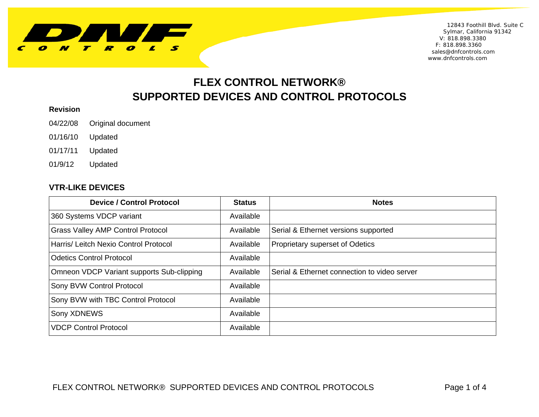

 12843 Foothill Blvd. Suite C Sylmar, California 91342 V: 818.898.3380 F: 818.898.3360 sales@dnfcontrols.com www.dnfcontrols.com

# **FLEX CONTROL NETWORK® SUPPORTED DEVICES AND CONTROL PROTOCOLS**

#### **Revision**

04/22/08 Original document

- 01/16/10 Updated
- 01/17/11 Updated
- 01/9/12 Updated

#### **VTR-LIKE DEVICES**

| <b>Device / Control Protocol</b>          | <b>Status</b> | <b>Notes</b>                                 |
|-------------------------------------------|---------------|----------------------------------------------|
| 360 Systems VDCP variant                  | Available     |                                              |
| <b>Grass Valley AMP Control Protocol</b>  | Available     | Serial & Ethernet versions supported         |
| Harris/ Leitch Nexio Control Protocol     | Available     | Proprietary superset of Odetics              |
| <b>Odetics Control Protocol</b>           | Available     |                                              |
| Omneon VDCP Variant supports Sub-clipping | Available     | Serial & Ethernet connection to video server |
| Sony BVW Control Protocol                 | Available     |                                              |
| Sony BVW with TBC Control Protocol        | Available     |                                              |
| Sony XDNEWS                               | Available     |                                              |
| <b>VDCP Control Protocol</b>              | Available     |                                              |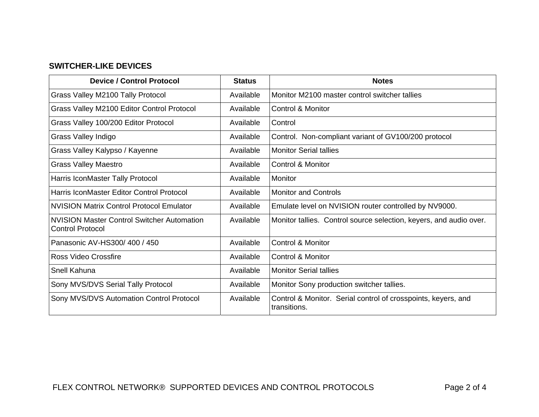## **SWITCHER-LIKE DEVICES**

| <b>Device / Control Protocol</b>                                             | <b>Status</b> | <b>Notes</b>                                                                  |
|------------------------------------------------------------------------------|---------------|-------------------------------------------------------------------------------|
| Grass Valley M2100 Tally Protocol                                            | Available     | Monitor M2100 master control switcher tallies                                 |
| Grass Valley M2100 Editor Control Protocol                                   | Available     | Control & Monitor                                                             |
| Grass Valley 100/200 Editor Protocol                                         | Available     | Control                                                                       |
| Grass Valley Indigo                                                          | Available     | Control. Non-compliant variant of GV100/200 protocol                          |
| Grass Valley Kalypso / Kayenne                                               | Available     | <b>Monitor Serial tallies</b>                                                 |
| <b>Grass Valley Maestro</b>                                                  | Available     | <b>Control &amp; Monitor</b>                                                  |
| Harris IconMaster Tally Protocol                                             | Available     | Monitor                                                                       |
| Harris IconMaster Editor Control Protocol                                    | Available     | <b>Monitor and Controls</b>                                                   |
| <b>NVISION Matrix Control Protocol Emulator</b>                              | Available     | Emulate level on NVISION router controlled by NV9000.                         |
| <b>NVISION Master Control Switcher Automation</b><br><b>Control Protocol</b> | Available     | Monitor tallies. Control source selection, keyers, and audio over.            |
| Panasonic AV-HS300/400 / 450                                                 | Available     | <b>Control &amp; Monitor</b>                                                  |
| Ross Video Crossfire                                                         | Available     | Control & Monitor                                                             |
| Snell Kahuna                                                                 | Available     | <b>Monitor Serial tallies</b>                                                 |
| Sony MVS/DVS Serial Tally Protocol                                           | Available     | Monitor Sony production switcher tallies.                                     |
| Sony MVS/DVS Automation Control Protocol                                     | Available     | Control & Monitor. Serial control of crosspoints, keyers, and<br>transitions. |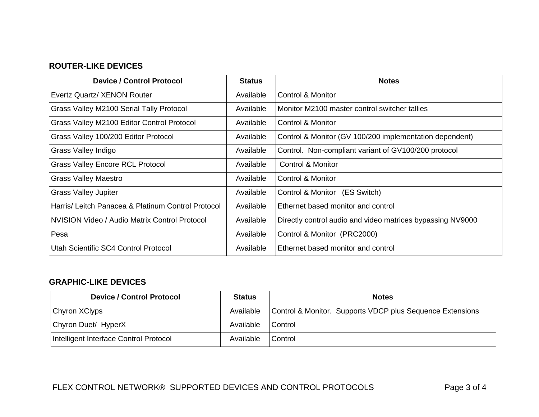### **ROUTER-LIKE DEVICES**

| <b>Device / Control Protocol</b>                   | <b>Status</b> | <b>Notes</b>                                               |
|----------------------------------------------------|---------------|------------------------------------------------------------|
| Evertz Quartz/ XENON Router                        | Available     | Control & Monitor                                          |
| Grass Valley M2100 Serial Tally Protocol           | Available     | Monitor M2100 master control switcher tallies              |
| Grass Valley M2100 Editor Control Protocol         | Available     | Control & Monitor                                          |
| Grass Valley 100/200 Editor Protocol               | Available     | Control & Monitor (GV 100/200 implementation dependent)    |
| Grass Valley Indigo                                | Available     | Control. Non-compliant variant of GV100/200 protocol       |
| <b>Grass Valley Encore RCL Protocol</b>            | Available     | Control & Monitor                                          |
| <b>Grass Valley Maestro</b>                        | Available     | Control & Monitor                                          |
| <b>Grass Valley Jupiter</b>                        | Available     | Control & Monitor (ES Switch)                              |
| Harris/ Leitch Panacea & Platinum Control Protocol | Available     | Ethernet based monitor and control                         |
| NVISION Video / Audio Matrix Control Protocol      | Available     | Directly control audio and video matrices bypassing NV9000 |
| Pesa                                               | Available     | Control & Monitor (PRC2000)                                |
| Utah Scientific SC4 Control Protocol               | Available     | Ethernet based monitor and control                         |

## **GRAPHIC-LIKE DEVICES**

| <b>Device / Control Protocol</b>       | <b>Status</b> | <b>Notes</b>                                              |
|----------------------------------------|---------------|-----------------------------------------------------------|
| Chyron XClyps                          | Available     | Control & Monitor. Supports VDCP plus Sequence Extensions |
| Chyron Duet/ HyperX                    | Available     | <b>Control</b>                                            |
| Intelligent Interface Control Protocol | Available     | <b>Control</b>                                            |